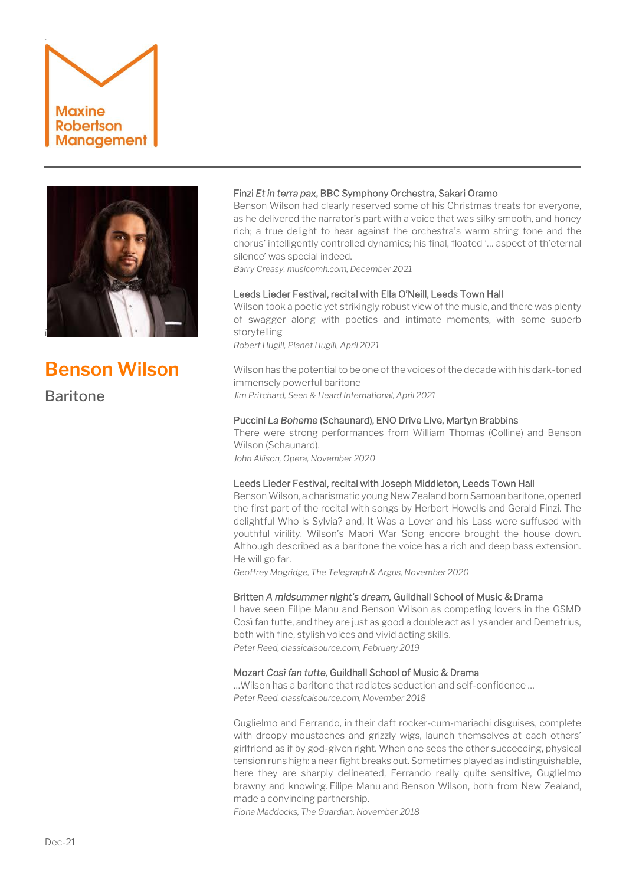



# **Benson Wilson**

**Baritone** 

## Finzi *Et in terra pax*, BBC Symphony Orchestra, Sakari Oramo

Benson Wilson had clearly reserved some of his Christmas treats for everyone, as he delivered the narrator's part with a voice that was silky smooth, and honey rich; a true delight to hear against the orchestra's warm string tone and the chorus' intelligently controlled dynamics; his final, floated '… aspect of th'eternal silence' was special indeed.

*Barry Creasy, musicomh.com, December 2021*

### Leeds Lieder Festival, recital with Ella O'Neill, Leeds Town Hall

Wilson took a poetic yet strikingly robust view of the music, and there was plenty of swagger along with poetics and intimate moments, with some superb storytelling

*Robert Hugill, Planet Hugill, April 2021*

Wilson has the potential to be one of the voices of the decade with his dark-toned immensely powerful baritone *Jim Pritchard, Seen & Heard International, April 2021*

#### Puccini *La Boheme* (Schaunard), ENO Drive Live, Martyn Brabbins

There were strong performances from William Thomas (Colline) and Benson Wilson (Schaunard). *John Allison, Opera, November 2020*

#### Leeds Lieder Festival, recital with Joseph Middleton, Leeds Town Hall

Benson Wilson, a charismatic young New Zealand born Samoan baritone, opened the first part of the recital with songs by Herbert Howells and Gerald Finzi. The delightful Who is Sylvia? and, It Was a Lover and his Lass were suffused with youthful virility. Wilson's Maori War Song encore brought the house down. Although described as a baritone the voice has a rich and deep bass extension. He will go far.

*Geoffrey Mogridge, The Telegraph & Argus, November 2020*

#### Britten *A midsummer night's dream,* Guildhall School of Music & Drama

I have seen Filipe Manu and Benson Wilson as competing lovers in the GSMD Così fan tutte, and they are just as good a double act as Lysander and Demetrius, both with fine, stylish voices and vivid acting skills. *Peter Reed, classicalsource.com, February 2019*

Mozart *Così fan tutte,* Guildhall School of Music & Drama

…Wilson has a baritone that radiates seduction and self-confidence … *Peter Reed, classicalsource.com, November 2018*

Guglielmo and Ferrando, in their daft rocker-cum-mariachi disguises, complete with droopy moustaches and grizzly wigs, launch themselves at each others' girlfriend as if by god-given right. When one sees the other succeeding, physical tension runs high: a near fight breaks out. Sometimes played as indistinguishable, here they are sharply delineated, Ferrando really quite sensitive, Guglielmo brawny and knowing. Filipe Manu and [Benson Wilson,](http://www.samling.org.uk/artists/benson-wilson/) both from New Zealand, made a convincing partnership.

*Fiona Maddocks, The Guardian, November 2018*